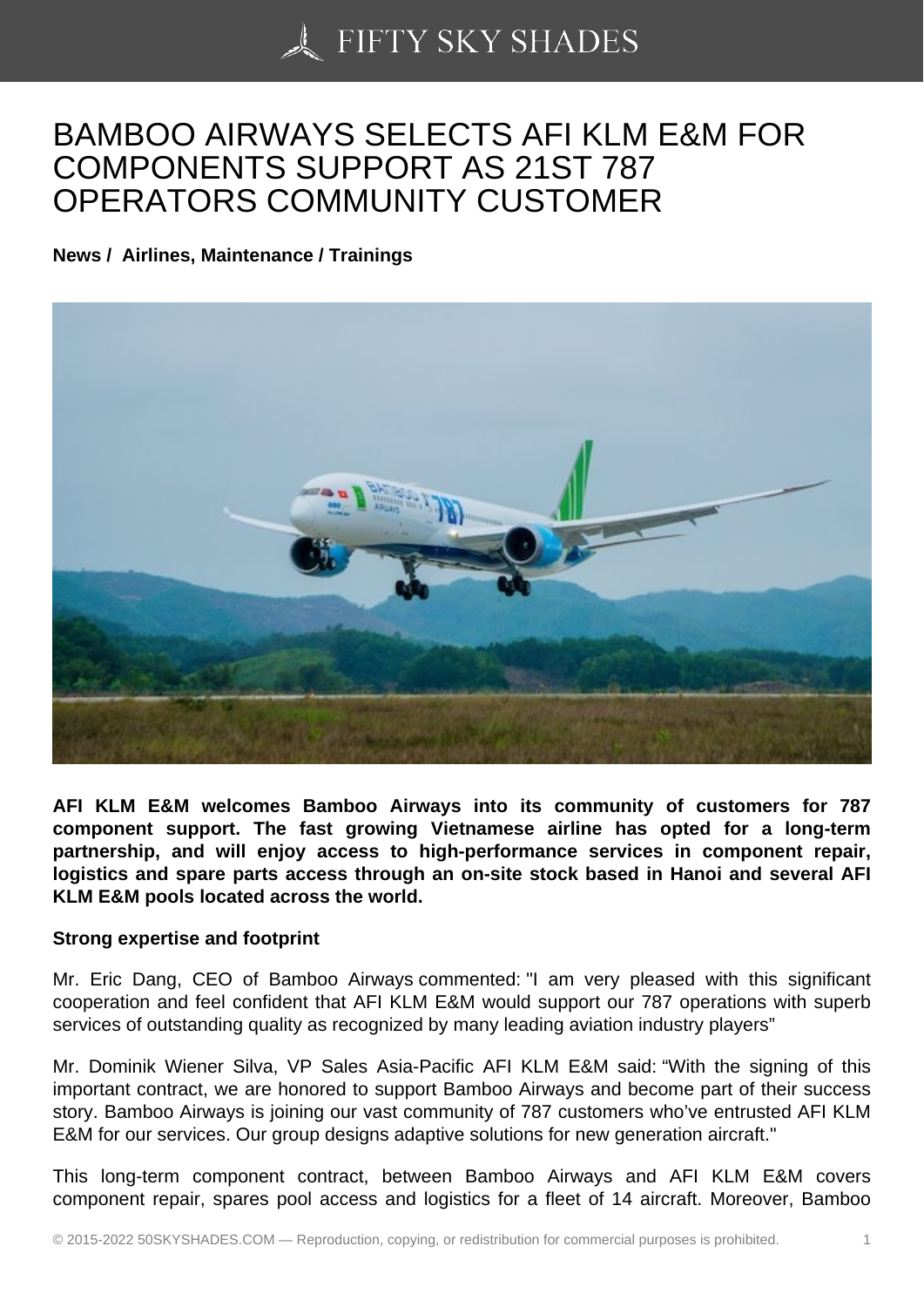## [BAMBOO AIRWAYS S](https://50skyshades.com)ELECTS AFI KLM E&M FOR COMPONENTS SUPPORT AS 21ST 787 OPERATORS COMMUNITY CUSTOMER

News / Airlines, Maintenance / Trainings

AFI KLM E&M welcomes Bamboo Airways into its community of customers for 787 component support. The fast growing Vietnamese airline has opted for a long-term partnership, and will enjoy access to high-performance services in component repair, logistics and spare parts access through an on-site stock based in Hanoi and several AFI KLM E&M pools located across the world.

## Strong expertise and footprint

Mr. Eric Dang, CEO of Bamboo Airways commented: "I am very pleased with this significant cooperation and feel confident that AFI KLM E&M would support our 787 operations with superb services of outstanding quality as recognized by many leading aviation industry players"

Mr. Dominik Wiener Silva, VP Sales Asia-Pacific AFI KLM E&M said: "With the signing of this important contract, we are honored to support Bamboo Airways and become part of their success story. Bamboo Airways is joining our vast community of 787 customers who've entrusted AFI KLM E&M for our services. Our group designs adaptive solutions for new generation aircraft."

This long-term component contract, between Bamboo Airways and AFI KLM E&M covers component repair, spares pool access and logistics for a fleet of 14 aircraft. Moreover, Bamboo